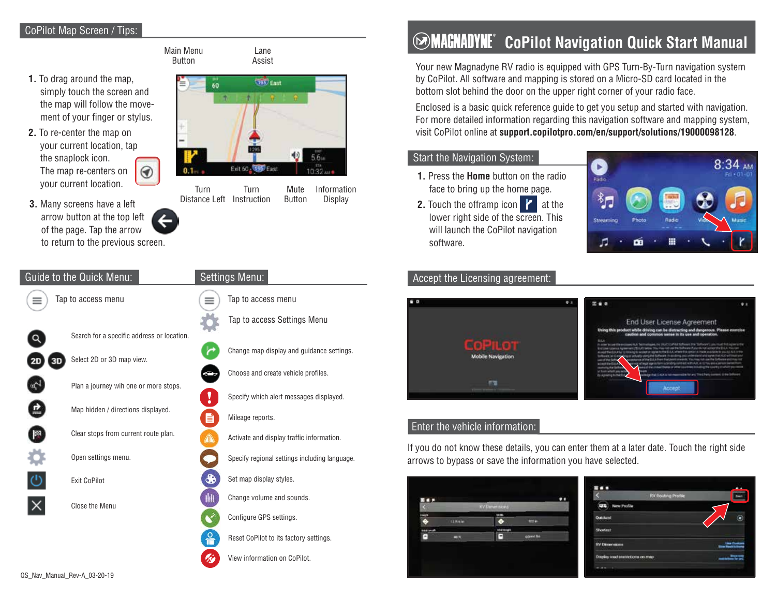## CoPilot Map Screen / Tips:



# **COMAGNADYNE** CoPilot Navigation Quick Start Manual

Your new Magnadyne RV radio is equipped with GPS Turn-By-Turn navigation system by CoPilot. All software and mapping is stored on a Micro-SD card located in the bottom slot behind the door on the upper right corner of your radio face.

Enclosed is a basic quick reference guide to get you setup and started with navigation. For more detailed information regarding this navigation software and mapping system, visit CoPilot online at **support.copilotpro.com/en/support/solutions/19000098128**.

#### Start the Navigation System:

Information Display

- **1.** Press the **Home** button on the radio face to bring up the home page. **1.** Press the **Mute** Information **1.** Press the **Mute** 
	- **2.** Touch the offramp icon  $\mathbf{Z}$  at the lower right side of the screen. This will launch the CoPilot navigation software.





### Enter the vehicle information:

If you do not know these details, you can enter them at a later date. Touch the right side arrows to bypass or save the information you have selected.



|                                  | <b>RV Routing Profile</b> |                    |
|----------------------------------|---------------------------|--------------------|
| $\overline{ }$<br>New Profile    |                           |                    |
| <b>Quickout</b>                  |                           |                    |
| Shortest                         |                           |                    |
| <b>RV Denemakons</b>             |                           | <b>Die Gebeure</b> |
| Drugley road restrictions on map |                           |                    |